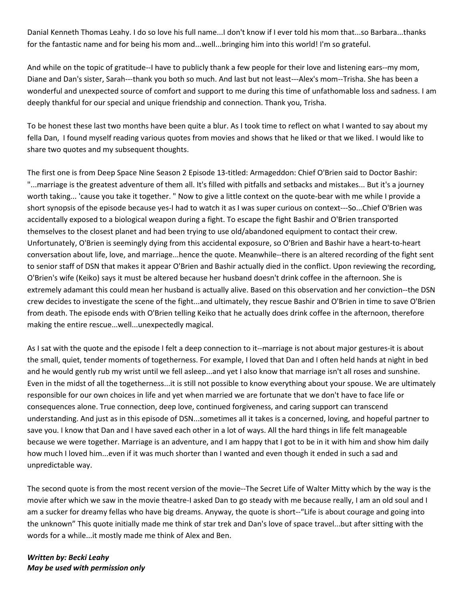Danial Kenneth Thomas Leahy. I do so love his full name...I don't know if I ever told his mom that...so Barbara...thanks for the fantastic name and for being his mom and...well...bringing him into this world! I'm so grateful.

And while on the topic of gratitude--I have to publicly thank a few people for their love and listening ears--my mom, Diane and Dan's sister, Sarah---thank you both so much. And last but not least---Alex's mom--Trisha. She has been a wonderful and unexpected source of comfort and support to me during this time of unfathomable loss and sadness. I am deeply thankful for our special and unique friendship and connection. Thank you, Trisha.

To be honest these last two months have been quite a blur. As I took time to reflect on what I wanted to say about my fella Dan, I found myself reading various quotes from movies and shows that he liked or that we liked. I would like to share two quotes and my subsequent thoughts.

The first one is from Deep Space Nine Season 2 Episode 13-titled: Armageddon: Chief O'Brien said to Doctor Bashir: "...marriage is the greatest adventure of them all. It's filled with pitfalls and setbacks and mistakes... But it's a journey worth taking... 'cause you take it together. " Now to give a little context on the quote-bear with me while I provide a short synopsis of the episode because yes-I had to watch it as I was super curious on context---So...Chief O'Brien was accidentally exposed to a biological weapon during a fight. To escape the fight Bashir and O'Brien transported themselves to the closest planet and had been trying to use old/abandoned equipment to contact their crew. Unfortunately, O'Brien is seemingly dying from this accidental exposure, so O'Brien and Bashir have a heart-to-heart conversation about life, love, and marriage...hence the quote. Meanwhile--there is an altered recording of the fight sent to senior staff of DSN that makes it appear O'Brien and Bashir actually died in the conflict. Upon reviewing the recording, O'Brien's wife (Keiko) says it must be altered because her husband doesn't drink coffee in the afternoon. She is extremely adamant this could mean her husband is actually alive. Based on this observation and her conviction--the DSN crew decides to investigate the scene of the fight...and ultimately, they rescue Bashir and O'Brien in time to save O'Brien from death. The episode ends with O'Brien telling Keiko that he actually does drink coffee in the afternoon, therefore making the entire rescue...well...unexpectedly magical.

As I sat with the quote and the episode I felt a deep connection to it--marriage is not about major gestures-it is about the small, quiet, tender moments of togetherness. For example, I loved that Dan and I often held hands at night in bed and he would gently rub my wrist until we fell asleep...and yet I also know that marriage isn't all roses and sunshine. Even in the midst of all the togetherness...it is still not possible to know everything about your spouse. We are ultimately responsible for our own choices in life and yet when married we are fortunate that we don't have to face life or consequences alone. True connection, deep love, continued forgiveness, and caring support can transcend understanding. And just as in this episode of DSN...sometimes all it takes is a concerned, loving, and hopeful partner to save you. I know that Dan and I have saved each other in a lot of ways. All the hard things in life felt manageable because we were together. Marriage is an adventure, and I am happy that I got to be in it with him and show him daily how much I loved him...even if it was much shorter than I wanted and even though it ended in such a sad and unpredictable way.

The second quote is from the most recent version of the movie--The Secret Life of Walter Mitty which by the way is the movie after which we saw in the movie theatre-I asked Dan to go steady with me because really, I am an old soul and I am a sucker for dreamy fellas who have big dreams. Anyway, the quote is short--"Life is about courage and going into the unknown" This quote initially made me think of star trek and Dan's love of space travel...but after sitting with the words for a while...it mostly made me think of Alex and Ben.

*Written by: Becki Leahy May be used with permission only*